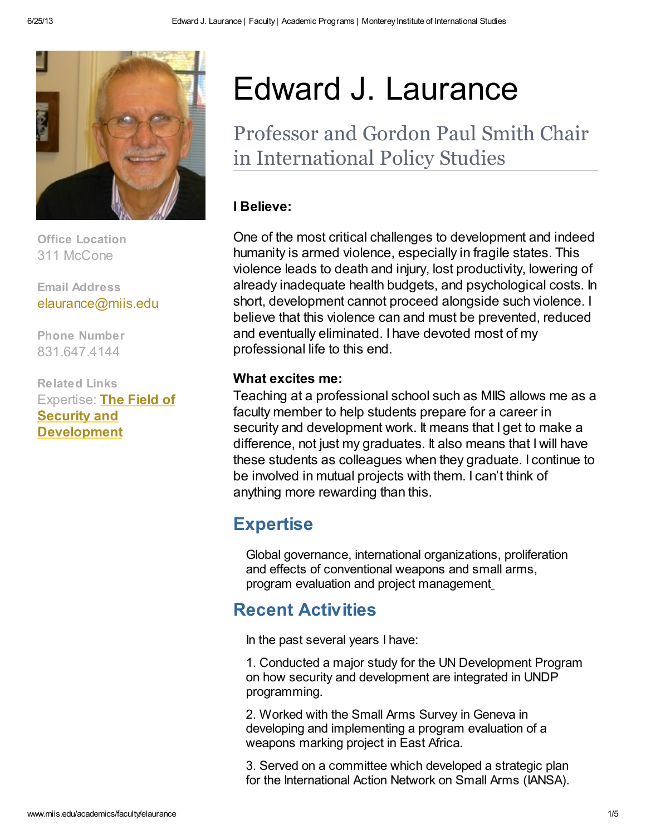

Office Location 311 McCone

Email Address [elaurance@miis.edu](mailto: elaurance@miis.edu)

Phone Number 831.647.4144

Related Links Expertise: The Field of Security and [Development](http://www.miis.edu/media/view/21315/original/the_field_of_security_and_development_fall_2010.pdf)

# Edward J. Laurance

Professor and Gordon Paul Smith Chair in International Policy Studies

#### I Believe:

One of the most critical challenges to development and indeed humanity is armed violence, especially in fragile states. This violence leads to death and injury, lost productivity, lowering of already inadequate health budgets, and psychological costs. In short, development cannot proceed alongside such violence. I believe that this violence can and must be prevented, reduced and eventually eliminated. I have devoted most of my professional life to this end.

#### What excites me:

Teaching at a professional school such as MIIS allows me as a faculty member to help students prepare for a career in security and development work. It means that I get to make a difference, not just my graduates. It also means that I will have these students as colleagues when they graduate. I continue to be involved in mutual projects with them. I can't think of anything more rewarding than this.

# **Expertise**

Global governance, international organizations, proliferation and effects of conventional weapons and small arms, program evaluation and project management

# Recent Activities

In the past several years I have:

1. Conducted a major study for the UN Development Program on how security and development are integrated in UNDP programming.

2. Worked with the Small Arms Survey in Geneva in developing and implementing a program evaluation of a weapons marking project in East Africa.

3. Served on a committee which developed a strategic plan for the International Action Network on Small Arms (IANSA).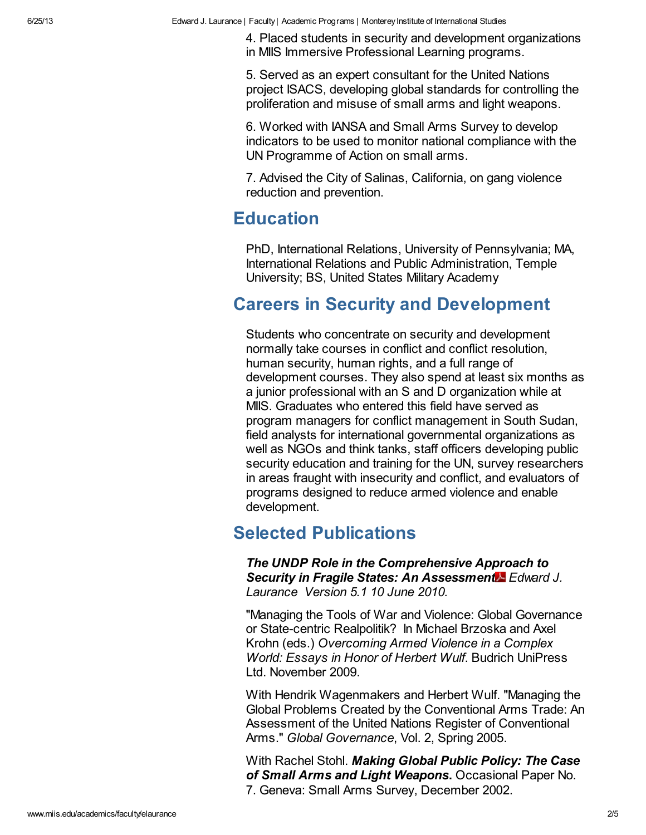4. Placed students in security and development organizations in MIIS Immersive Professional Learning programs.

5. Served as an expert consultant for the United Nations project ISACS, developing global standards for controlling the proliferation and misuse of small arms and light weapons.

6. Worked with IANSA and Small Arms Survey to develop indicators to be used to monitor national compliance with the UN Programme of Action on small arms.

7. Advised the City of Salinas, California, on gang violence reduction and prevention.

### Education

PhD, International Relations, University of Pennsylvania; MA, International Relations and Public Administration, Temple University; BS, United States Military Academy

## Careers in Security and Development

Students who concentrate on security and development normally take courses in conflict and conflict resolution, human security, human rights, and a full range of development courses. They also spend at least six months as a junior professional with an S and D organization while at MIIS. Graduates who entered this field have served as program managers for conflict management in South Sudan, field analysts for international governmental organizations as well as NGOs and think tanks, staff officers developing public security education and training for the UN, survey researchers in areas fraught with insecurity and conflict, and evaluators of programs designed to reduce armed violence and enable development.

## Selected Publications

The UNDP Role in the [Comprehensive](http://www.miis.edu/media/view/21316/original/the_undp_role_in_the_comprehensive_approach_to_security_in_fragile_states.pdf) Approach to Securi[t](http://www.miis.edu/media/view/21316/original/the_undp_role_in_the_comprehensive_approach_to_security_in_fragile_states.pdf)y in Fragile States: An Assessment Edward J. Laurance Version 5.1 10 June 2010.

"Managing the Tools of War and Violence: Global Governance or State-centric Realpolitik? In Michael Brzoska and Axel Krohn (eds.) Overcoming Armed Violence in a Complex World: Essays in Honor of Herbert Wulf. Budrich UniPress Ltd. November 2009.

With Hendrik Wagenmakers and Herbert Wulf. "Managing the Global Problems Created by the Conventional Arms Trade: An Assessment of the United Nations Register of Conventional Arms." Global Governance, Vol. 2, Spring 2005.

With Rachel Stohl. Making Global Public Policy: The Case of Small Arms and Light Weapons. [Occasional](http://www.smallarmssurvey.org/files/sas/publications/o_papers_pdf/2002-op07-un_conference.pdf) Paper No. 7. Geneva: Small Arms Survey, December 2002.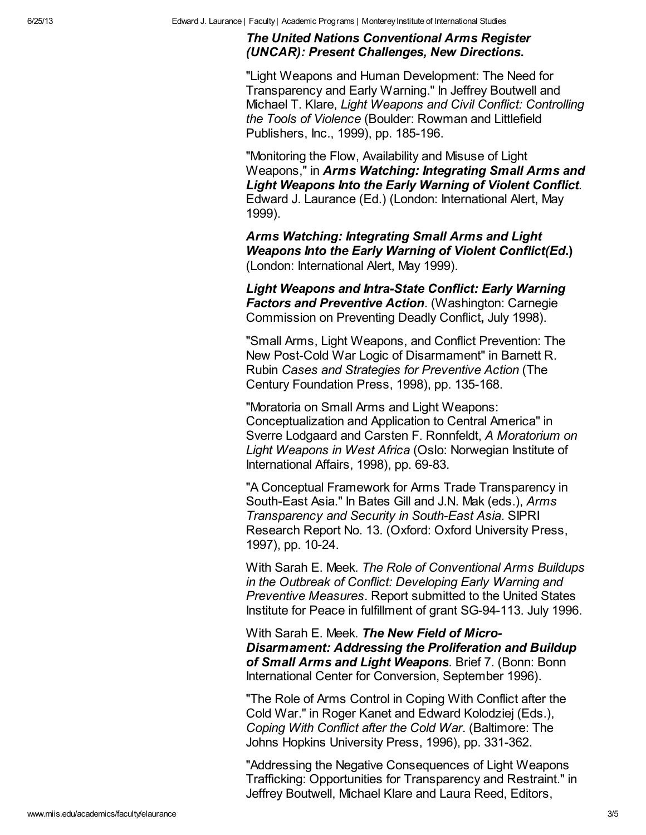#### The United Nations [Conventional](http://www.international.gc.ca/arms-armes/isrop-prisi/research-recherche/verification/laurance2001/index.aspx) Arms Register (UNCAR): Present Challenges, New Directions.

"Light Weapons and Human Development: The Need for Transparency and Early Warning." In Jeffrey Boutwell and Michael T. Klare, Light Weapons and Civil Conflict: Controlling the Tools of Violence (Boulder: Rowman and Littlefield Publishers, Inc., 1999), pp. 185-196.

"Monitoring the Flow, Availability and Misuse of Light Weapons," in Arms Watching: [Integrating](http://www.international-alert.org/pdf/lw_armswatching.pdf) Small Arms and Light Weapons Into the Early Warning of Violent Conflict. Edward J. Laurance (Ed.) (London: International Alert, May 1999).

Arms Watching: Integrating Small Arms and Light Weapons Into the Early Warning of Violent [Conflict\(Ed](http://www.international-alert.org/pdf/lw_armswatching.pdf)[.\)](http://www.international-alert.org/pdf/lw_armswatching.pdf) (London: International Alert, May 1999).

Light Weapons and Intra-State Conflict: Early Warning **Factors and Preventive Action.** [\(Washington:](http://www.wilsoncenter.org/subsites/ccpdc/pubs/weap/frame.htm) Carnegie Commission on Preventing Deadly Conflict, July 1998).

"Small Arms, Light Weapons, and Conflict Prevention: The New Post-Cold War Logic of Disarmament" in Barnett R. Rubin Cases and Strategies for Preventive Action (The Century Foundation Press, 1998), pp. 135-168.

"Moratoria on Small Arms and Light Weapons: Conceptualization and Application to Central America" in Sverre Lodgaard and Carsten F. Ronnfeldt, A Moratorium on Light Weapons in West Africa (Oslo: Norwegian Institute of International Affairs, 1998), pp. 69-83.

"A Conceptual Framework for Arms Trade Transparency in South-East Asia." In Bates Gill and J.N. Mak (eds.), Arms Transparency and Security in South-East Asia. SIPRI Research Report No. 13. (Oxford: Oxford University Press, 1997), pp. 10-24.

With Sarah E. Meek. The Role of Conventional Arms Buildups in the Outbreak of Conflict: Developing Early Warning and Preventive Measures. Report submitted to the United States Institute for Peace in fulfillment of grant SG-94-113. July 1996.

With Sarah E. Meek. The New Field of Micro-[Disarmament:](http://www.smallarmssurvey.org/files/portal/spotlight/disarmament/disarm_pdf/1996_Laurence_Meek.pdf) Addressing the Proliferation and Buildup of Small Arms and Light Weapons. Brief 7. (Bonn: Bonn International Center for Conversion, September 1996).

"The Role of Arms Control in Coping With Conflict after the Cold War." in Roger Kanet and Edward Kolodziej (Eds.), Coping With Conflict after the Cold War. (Baltimore: The Johns Hopkins University Press, 1996), pp. 331-362.

"Addressing the Negative Consequences of Light Weapons Trafficking: Opportunities for Transparency and Restraint." in Jeffrey Boutwell, Michael Klare and Laura Reed, Editors,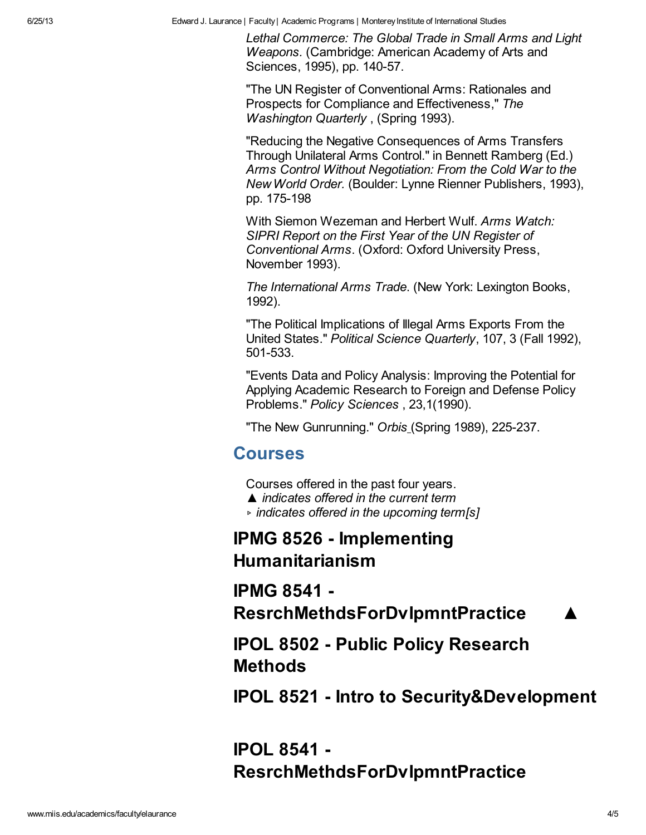6/25/13 Edward J. Laurance | Faculty| Academic Programs | MontereyInstitute of International Studies

Lethal Commerce: The Global Trade in Small Arms and Light Weapons. (Cambridge: American Academy of Arts and Sciences, 1995), pp. 140-57.

"The UN Register of Conventional Arms: Rationales and Prospects for Compliance and Effectiveness," The Washington Quarterly , (Spring 1993).

"Reducing the Negative Consequences of Arms Transfers Through Unilateral Arms Control." in Bennett Ramberg (Ed.) Arms Control Without Negotiation: From the Cold War to the NewWorld Order. (Boulder: Lynne Rienner Publishers, 1993), pp. 175-198

With Siemon Wezeman and Herbert Wulf. Arms Watch: SIPRI Report on the First Year of the UN Register of Conventional Arms. (Oxford: Oxford University Press, November 1993).

The International Arms Trade. (New York: Lexington Books, 1992).

"The Political Implications of Illegal Arms Exports From the United States." Political Science Quarterly, 107, 3 (Fall 1992), 501-533.

"Events Data and Policy Analysis: Improving the Potential for Applying Academic Research to Foreign and Defense Policy Problems." Policy Sciences , 23,1(1990).

"The New Gunrunning." Orbis (Spring 1989), 225-237.

#### Courses

Courses offered in the past four years.

- ▲ indicates offered in the current term
- ▹ indicates offered in the upcoming term[s]

IPMG 8526 - Implementing Humanitarianism

IPMG 8541 -

ResrchMethdsForDvIpmntPractice

IPOL 8502 - Public Policy Research Methods

IPOL 8521 - Intro to Security&Development

IPOL 8541 - ResrchMethdsForDvlpmntPractice